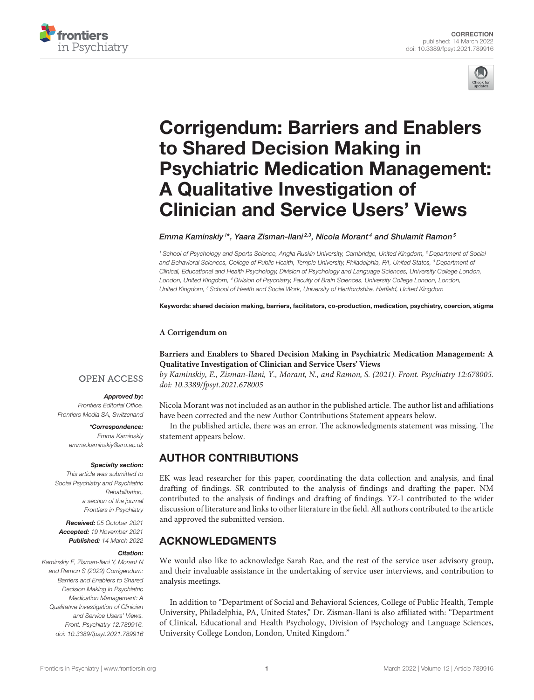



# Corrigendum: Barriers and Enablers to Shared Decision Making in [Psychiatric Medication Management:](https://www.frontiersin.org/articles/10.3389/fpsyt.2021.789916/full) A Qualitative Investigation of Clinician and Service Users' Views

### Emma Kaminskiy <sup>1\*</sup>, Yaara Zisman-Ilani<sup>2,3</sup>, Nicola Morant<sup>4</sup> and Shulamit Ramon<sup>5</sup>

*<sup>1</sup> School of Psychology and Sports Science, Anglia Ruskin University, Cambridge, United Kingdom, <sup>2</sup> Department of Social and Behavioral Sciences, College of Public Health, Temple University, Philadelphia, PA, United States, <sup>3</sup> Department of Clinical, Educational and Health Psychology, Division of Psychology and Language Sciences, University College London, London, United Kingdom, <sup>4</sup> Division of Psychiatry, Faculty of Brain Sciences, University College London, London, United Kingdom, <sup>5</sup> School of Health and Social Work, University of Hertfordshire, Hatfield, United Kingdom*

Keywords: shared decision making, barriers, facilitators, co-production, medication, psychiatry, coercion, stigma

### **A Corrigendum on**

## **[Barriers and Enablers to Shared Decision Making in Psychiatric Medication Management: A](https://doi.org/10.3389/fpsyt.2021.678005) Qualitative Investigation of Clinician and Service Users' Views**

by Kaminskiy, E., Zisman-Ilani, Y., Morant, N., and Ramon, S. (2021). Front. Psychiatry 12:678005. doi: [10.3389/fpsyt.2021.678005](https://doi.org/10.3389/fpsyt.2021.678005)

## Nicola Morant was not included as an author in the published article. The author list and affiliations have been corrected and the new Author Contributions Statement appears below.

In the published article, there was an error. The acknowledgments statement was missing. The statement appears below.

# AUTHOR CONTRIBUTIONS

EK was lead researcher for this paper, coordinating the data collection and analysis, and final drafting of findings. SR contributed to the analysis of findings and drafting the paper. NM contributed to the analysis of findings and drafting of findings. YZ-I contributed to the wider discussion of literature and links to other literature in the field. All authors contributed to the article and approved the submitted version.

# ACKNOWLEDGMENTS

We would also like to acknowledge Sarah Rae, and the rest of the service user advisory group, and their invaluable assistance in the undertaking of service user interviews, and contribution to analysis meetings.

In addition to "Department of Social and Behavioral Sciences, College of Public Health, Temple University, Philadelphia, PA, United States," Dr. Zisman-Ilani is also affiliated with: "Department of Clinical, Educational and Health Psychology, Division of Psychology and Language Sciences, University College London, London, United Kingdom."

# **OPEN ACCESS**

### Approved by:

*Frontiers Editorial Office, Frontiers Media SA, Switzerland*

#### \*Correspondence: *Emma Kaminskiy [emma.kaminskiy@aru.ac.uk](mailto:emma.kaminskiy@aru.ac.uk)*

#### Specialty section:

*This article was submitted to Social Psychiatry and Psychiatric Rehabilitation, a section of the journal Frontiers in Psychiatry*

Received: *05 October 2021* Accepted: *19 November 2021* Published: *14 March 2022*

#### Citation:

*Kaminskiy E, Zisman-Ilani Y, Morant N and Ramon S (2022) Corrigendum: Barriers and Enablers to Shared Decision Making in Psychiatric Medication Management: A Qualitative Investigation of Clinician and Service Users' Views. Front. Psychiatry 12:789916. doi: [10.3389/fpsyt.2021.789916](https://doi.org/10.3389/fpsyt.2021.789916)*